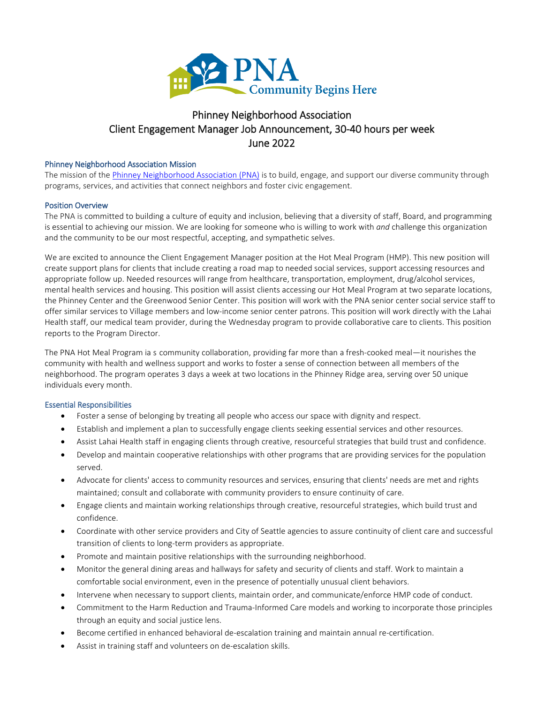

# Phinney Neighborhood Association Client Engagement Manager Job Announcement, 30-40 hours per week June 2022

#### Phinney Neighborhood Association Mission

The mission of th[e Phinney Neighborhood Association \(PNA\)](http://www.phinneycenter.org/) is to build, engage, and support our diverse community through programs, services, and activities that connect neighbors and foster civic engagement.

#### Position Overview

The PNA is committed to building a culture of equity and inclusion, believing that a diversity of staff, Board, and programming is essential to achieving our mission. We are looking for someone who is willing to work with *and* challenge this organization and the community to be our most respectful, accepting, and sympathetic selves.

We are excited to announce the Client Engagement Manager position at the Hot Meal Program (HMP). This new position will create support plans for clients that include creating a road map to needed social services, support accessing resources and appropriate follow up. Needed resources will range from healthcare, transportation, employment, drug/alcohol services, mental health services and housing. This position will assist clients accessing our Hot Meal Program at two separate locations, the Phinney Center and the Greenwood Senior Center. This position will work with the PNA senior center social service staff to offer similar services to Village members and low-income senior center patrons. This position will work directly with the Lahai Health staff, our medical team provider, during the Wednesday program to provide collaborative care to clients. This position reports to the Program Director.

The PNA Hot Meal Program ia s community collaboration, providing far more than a fresh-cooked meal—it nourishes the community with health and wellness support and works to foster a sense of connection between all members of the neighborhood. The program operates 3 days a week at two locations in the Phinney Ridge area, serving over 50 unique individuals every month.

#### Essential Responsibilities

- Foster a sense of belonging by treating all people who access our space with dignity and respect.
- Establish and implement a plan to successfully engage clients seeking essential services and other resources.
- Assist Lahai Health staff in engaging clients through creative, resourceful strategies that build trust and confidence.
- Develop and maintain cooperative relationships with other programs that are providing services for the population served.
- Advocate for clients' access to community resources and services, ensuring that clients' needs are met and rights maintained; consult and collaborate with community providers to ensure continuity of care.
- Engage clients and maintain working relationships through creative, resourceful strategies, which build trust and confidence.
- Coordinate with other service providers and City of Seattle agencies to assure continuity of client care and successful transition of clients to long-term providers as appropriate.
- Promote and maintain positive relationships with the surrounding neighborhood.
- Monitor the general dining areas and hallways for safety and security of clients and staff. Work to maintain a comfortable social environment, even in the presence of potentially unusual client behaviors.
- Intervene when necessary to support clients, maintain order, and communicate/enforce HMP code of conduct.
- Commitment to the Harm Reduction and Trauma-Informed Care models and working to incorporate those principles through an equity and social justice lens.
- Become certified in enhanced behavioral de-escalation training and maintain annual re-certification.
- Assist in training staff and volunteers on de-escalation skills.